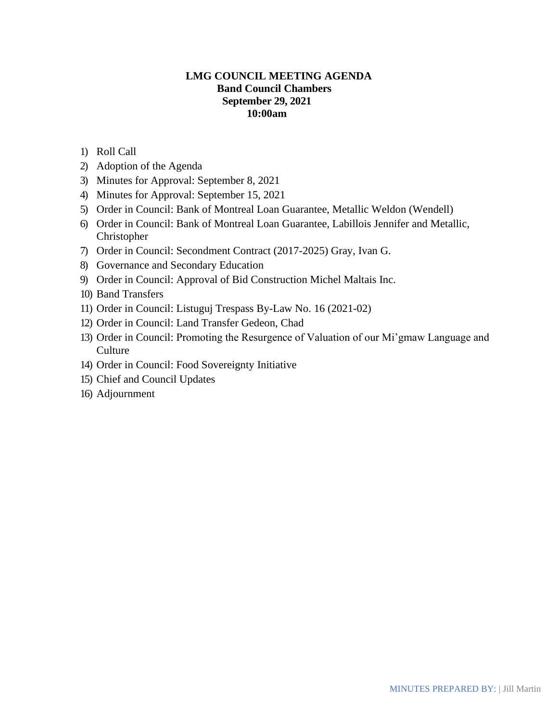## **LMG COUNCIL MEETING AGENDA Band Council Chambers September 29, 2021 10:00am**

- 1) Roll Call
- 2) Adoption of the Agenda
- 3) Minutes for Approval: September 8, 2021
- 4) Minutes for Approval: September 15, 2021
- 5) Order in Council: Bank of Montreal Loan Guarantee, Metallic Weldon (Wendell)
- 6) Order in Council: Bank of Montreal Loan Guarantee, Labillois Jennifer and Metallic, Christopher
- 7) Order in Council: Secondment Contract (2017-2025) Gray, Ivan G.
- 8) Governance and Secondary Education
- 9) Order in Council: Approval of Bid Construction Michel Maltais Inc.
- 10) Band Transfers
- 11) Order in Council: Listuguj Trespass By-Law No. 16 (2021-02)
- 12) Order in Council: Land Transfer Gedeon, Chad
- 13) Order in Council: Promoting the Resurgence of Valuation of our Mi'gmaw Language and **Culture**
- 14) Order in Council: Food Sovereignty Initiative
- 15) Chief and Council Updates
- 16) Adjournment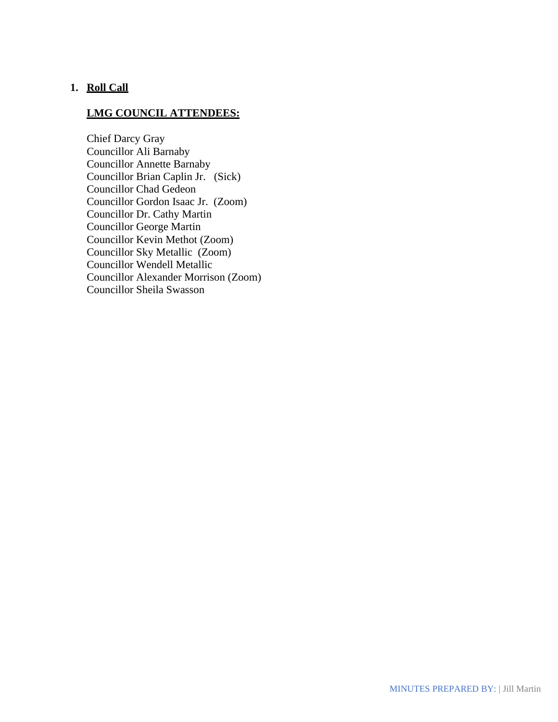## **1. Roll Call**

## **LMG COUNCIL ATTENDEES:**

Chief Darcy Gray Councillor Ali Barnaby Councillor Annette Barnaby Councillor Brian Caplin Jr. (Sick) Councillor Chad Gedeon Councillor Gordon Isaac Jr. (Zoom) Councillor Dr. Cathy Martin Councillor George Martin Councillor Kevin Methot (Zoom) Councillor Sky Metallic (Zoom) Councillor Wendell Metallic Councillor Alexander Morrison (Zoom) Councillor Sheila Swasson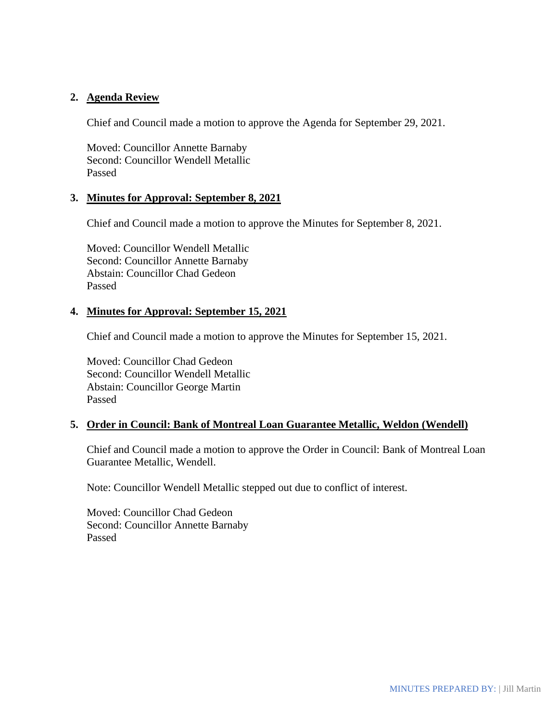### **2. Agenda Review**

Chief and Council made a motion to approve the Agenda for September 29, 2021.

Moved: Councillor Annette Barnaby Second: Councillor Wendell Metallic Passed

### **3. Minutes for Approval: September 8, 2021**

Chief and Council made a motion to approve the Minutes for September 8, 2021.

Moved: Councillor Wendell Metallic Second: Councillor Annette Barnaby Abstain: Councillor Chad Gedeon Passed

## **4. Minutes for Approval: September 15, 2021**

Chief and Council made a motion to approve the Minutes for September 15, 2021.

Moved: Councillor Chad Gedeon Second: Councillor Wendell Metallic Abstain: Councillor George Martin Passed

### **5. Order in Council: Bank of Montreal Loan Guarantee Metallic, Weldon (Wendell)**

Chief and Council made a motion to approve the Order in Council: Bank of Montreal Loan Guarantee Metallic, Wendell.

Note: Councillor Wendell Metallic stepped out due to conflict of interest.

Moved: Councillor Chad Gedeon Second: Councillor Annette Barnaby Passed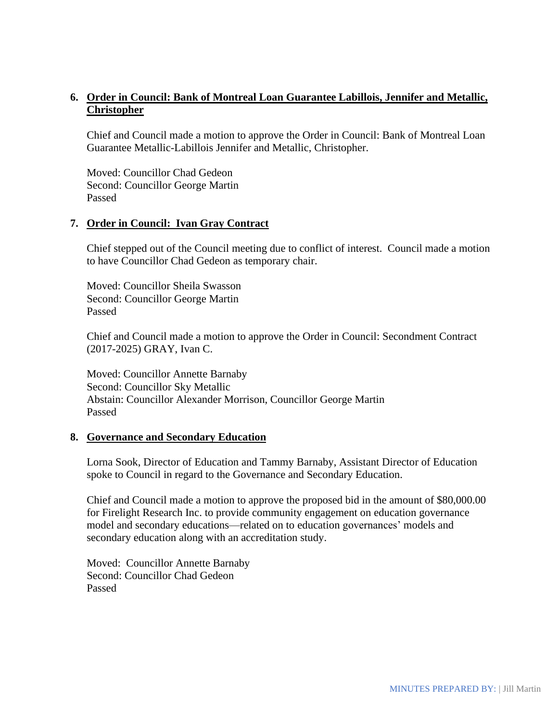# **6. Order in Council: Bank of Montreal Loan Guarantee Labillois, Jennifer and Metallic, Christopher**

Chief and Council made a motion to approve the Order in Council: Bank of Montreal Loan Guarantee Metallic-Labillois Jennifer and Metallic, Christopher.

Moved: Councillor Chad Gedeon Second: Councillor George Martin Passed

### **7. Order in Council: Ivan Gray Contract**

Chief stepped out of the Council meeting due to conflict of interest. Council made a motion to have Councillor Chad Gedeon as temporary chair.

Moved: Councillor Sheila Swasson Second: Councillor George Martin Passed

Chief and Council made a motion to approve the Order in Council: Secondment Contract (2017-2025) GRAY, Ivan C.

Moved: Councillor Annette Barnaby Second: Councillor Sky Metallic Abstain: Councillor Alexander Morrison, Councillor George Martin Passed

### **8. Governance and Secondary Education**

Lorna Sook, Director of Education and Tammy Barnaby, Assistant Director of Education spoke to Council in regard to the Governance and Secondary Education.

Chief and Council made a motion to approve the proposed bid in the amount of \$80,000.00 for Firelight Research Inc. to provide community engagement on education governance model and secondary educations—related on to education governances' models and secondary education along with an accreditation study.

Moved: Councillor Annette Barnaby Second: Councillor Chad Gedeon Passed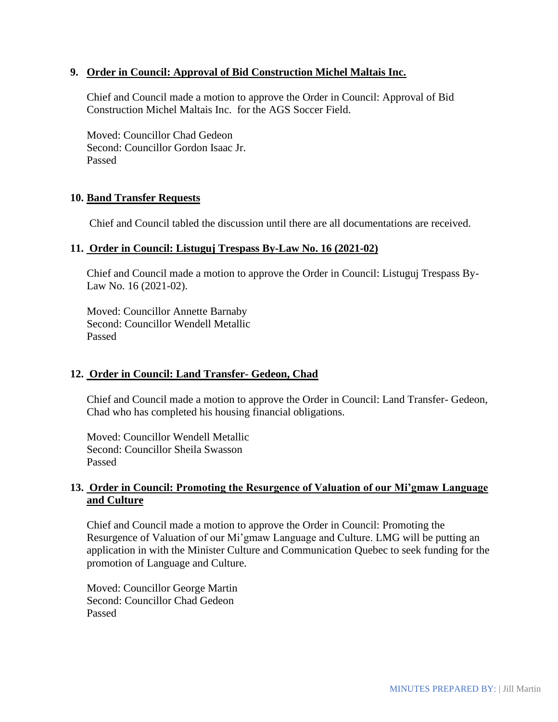### **9. Order in Council: Approval of Bid Construction Michel Maltais Inc.**

Chief and Council made a motion to approve the Order in Council: Approval of Bid Construction Michel Maltais Inc. for the AGS Soccer Field.

Moved: Councillor Chad Gedeon Second: Councillor Gordon Isaac Jr. Passed

### **10. Band Transfer Requests**

Chief and Council tabled the discussion until there are all documentations are received.

#### **11. Order in Council: Listuguj Trespass By-Law No. 16 (2021-02)**

Chief and Council made a motion to approve the Order in Council: Listuguj Trespass By-Law No. 16 (2021-02).

Moved: Councillor Annette Barnaby Second: Councillor Wendell Metallic Passed

### **12. Order in Council: Land Transfer- Gedeon, Chad**

Chief and Council made a motion to approve the Order in Council: Land Transfer- Gedeon, Chad who has completed his housing financial obligations.

Moved: Councillor Wendell Metallic Second: Councillor Sheila Swasson Passed

## **13. Order in Council: Promoting the Resurgence of Valuation of our Mi'gmaw Language and Culture**

Chief and Council made a motion to approve the Order in Council: Promoting the Resurgence of Valuation of our Mi'gmaw Language and Culture. LMG will be putting an application in with the Minister Culture and Communication Quebec to seek funding for the promotion of Language and Culture.

Moved: Councillor George Martin Second: Councillor Chad Gedeon Passed